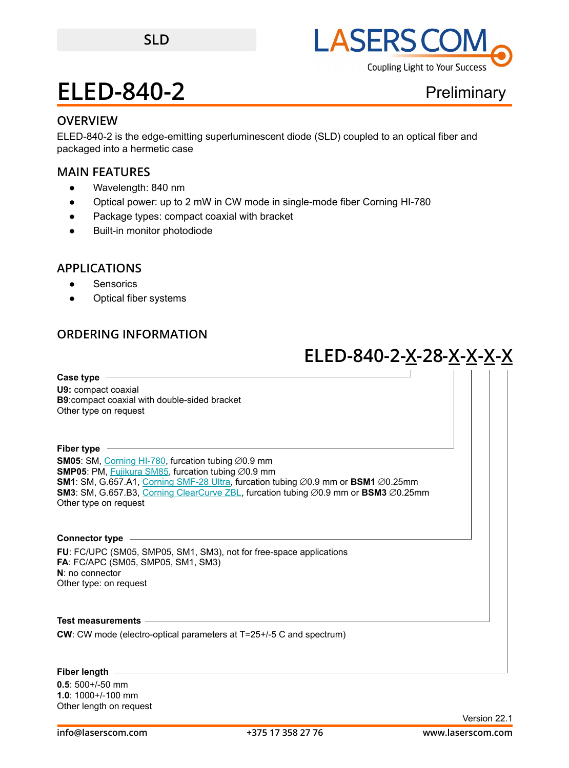

**Preliminary** 

### **OVERVIEW**

ELED-840-2 is the edge-emitting superluminescent diode (SLD) coupled to an optical fiber and packaged into a hermetic case

### **MAIN FEATURES**

- Wavelength: 840 nm
- Optical power: up to 2 mW in CW mode in single-mode fiber Corning HI-780
- Package types: compact coaxial with bracket
- **Built-in monitor photodiode**

### **APPLICATIONS**

- Sensorics
- Optical fiber systems

## **ORDERING INFORMATION**

## **ELED-840-2-X-28-X-X-X-X**

**Case type U9:** compact coaxial **B9**:compact coaxial with double-sided bracket Other type on request

**Fiber type SM05**: SM, [Corning HI-780,](https://drive.google.com/file/d/1e1RpSdC95md9Gf8HSWLLWHuukuKKrCjU/view?usp=sharing) furcation tubing ∅0.9 mm **SMP05**: PM, [Fujikura SM85,](https://drive.google.com/file/d/1FTlBYs2NlqAYhwe9jwLAGFWCisPnGBmM/view?usp=sharing) furcation tubing ∅0.9 mm **SM1**: SM, G.657.A1, [Corning SMF-28 Ultra](https://drive.google.com/file/d/1JeMdVLHUIGFdzKdBnzaeOmjsa81S284f/view?usp=sharing), furcation tubing ⌀0.9 mm or **BSM1** ⌀0.25mm **SM3**: SM, G.657.B3, [Corning ClearCurve ZBL](https://drive.google.com/file/d/1BnScs4F0ApGayHF4MQJvm8phLaEPHUV0/view?usp=sharing), furcation tubing ⌀0.9 mm or **BSM3** ⌀0.25mm Other type on request

## **Connector type**

**FU**: FC/UPC (SM05, SMP05, SM1, SM3), not for free-space applications **FA**: FC/APC (SM05, SMP05, SM1, SM3) **N**: no connector Other type: on request

**Test measurements**

**CW**: CW mode (electro-optical parameters at T=25+/-5 C and spectrum)

#### **Fiber length**

**0.5**: 500+/-50 mm **1.0**: 1000+/-100 mm Other length on request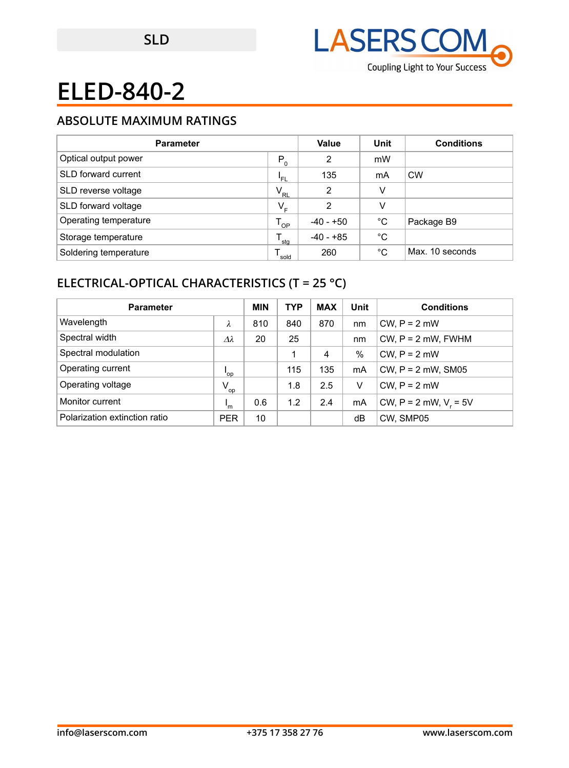

## **ABSOLUTE MAXIMUM RATINGS**

| <b>Parameter</b>      |              | Value          | Unit        | <b>Conditions</b> |
|-----------------------|--------------|----------------|-------------|-------------------|
| Optical output power  | $P_0$        | 2              | mW          |                   |
| SLD forward current   | 'FL          | 135            | mA          | <b>CW</b>         |
| SLD reverse voltage   | $V_{\rm RL}$ | $\overline{2}$ | V           |                   |
| SLD forward voltage   | $V_{E}$      | 2              | V           |                   |
| Operating temperature | OP           | -40 - +50      | $^{\circ}C$ | Package B9        |
| Storage temperature   | stg          | $-40 - +85$    | °C          |                   |
| Soldering temperature | sold         | 260            | °C          | Max. 10 seconds   |

## **ELECTRICAL-OPTICAL CHARACTERISTICS (T = 25 °C)**

| <b>Parameter</b>              |                           | <b>MIN</b> | <b>TYP</b> | <b>MAX</b> | Unit | <b>Conditions</b>          |
|-------------------------------|---------------------------|------------|------------|------------|------|----------------------------|
| Wavelength                    | λ                         | 810        | 840        | 870        | nm   | $CW, P = 2$ mW             |
| Spectral width                | $\Delta\lambda$           | 20         | 25         |            | nm   | $CW$ , $P = 2$ mW, FWHM    |
| Spectral modulation           |                           |            |            | 4          | $\%$ | $CW. P = 2$ mW             |
| Operating current             | 'op                       |            | 115        | 135        | mA   | CW, $P = 2$ mW, SM05       |
| Operating voltage             | $V_{op}$                  |            | 1.8        | 2.5        | V    | $CW. P = 2$ mW             |
| Monitor current               | $\mathsf{I}_{\mathsf{m}}$ | 0.6        | 1.2        | 2.4        | mA   | CW, $P = 2$ mW, $V_r = 5V$ |
| Polarization extinction ratio | <b>PER</b>                | 10         |            |            | dB   | CW, SMP05                  |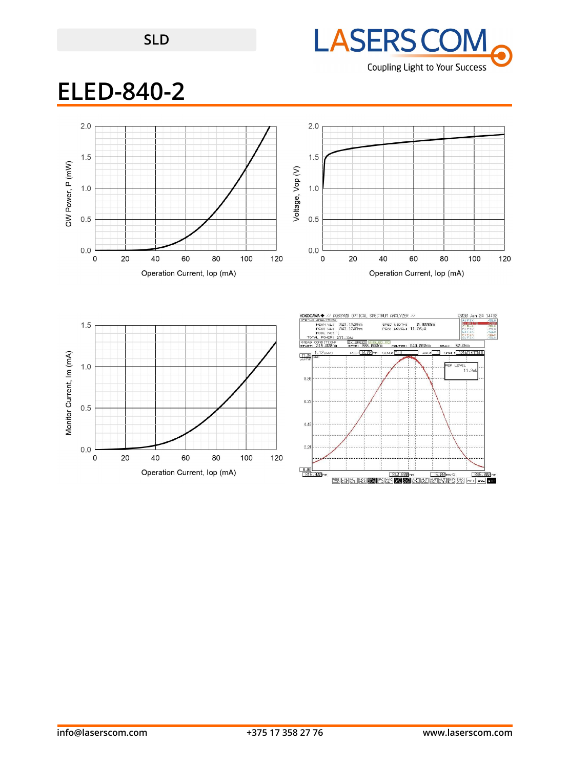



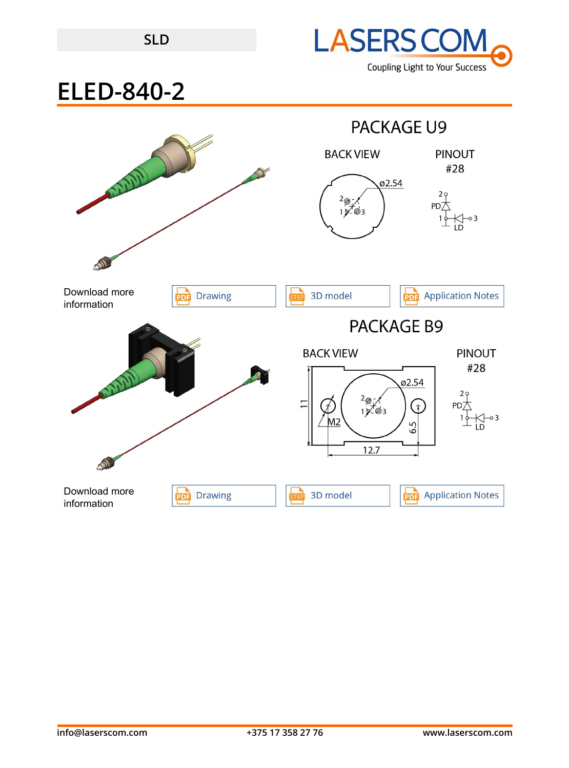